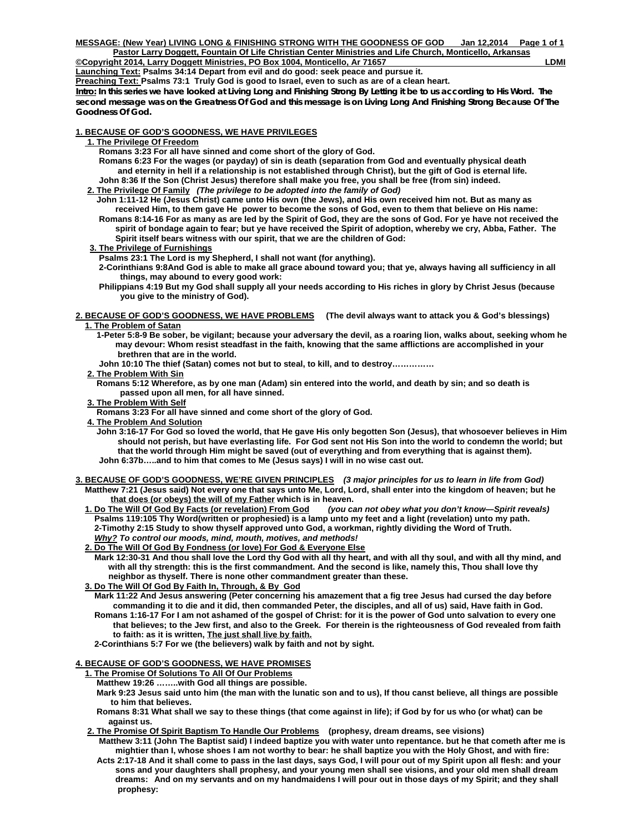**Launching Text: Psalms 34:14 Depart from evil and do good: seek peace and pursue it.** 

**Preaching Text: Psalms 73:1 Truly God is good to Israel, even to such as are of a clean heart.** 

**Intro: In this series we have looked at Living Long and Finishing Strong By Letting it be to us according to His Word. The second message was on the Greatness Of God and this message is on Living Long And Finishing Strong Because Of The Goodness Of God.** 

### **1. BECAUSE OF GOD'S GOODNESS, WE HAVE PRIVILEGES**

- **1. The Privilege Of Freedom**
	- **Romans 3:23 For all have sinned and come short of the glory of God.**
	- **Romans 6:23 For the wages (or payday) of sin is death (separation from God and eventually physical death and eternity in hell if a relationship is not established through Christ), but the gift of God is eternal life. John 8:36 If the Son (Christ Jesus) therefore shall make you free, you shall be free (from sin) indeed.**
- **2. The Privilege Of Family** *(The privilege to be adopted into the family of God)* 
	- **John 1:11-12 He (Jesus Christ) came unto His own (the Jews), and His own received him not. But as many as received Him, to them gave He power to become the sons of God, even to them that believe on His name: Romans 8:14-16 For as many as are led by the Spirit of God, they are the sons of God. For ye have not received the spirit of bondage again to fear; but ye have received the Spirit of adoption, whereby we cry, Abba, Father. The Spirit itself bears witness with our spirit, that we are the children of God:**
- **3. The Privilege of Furnishings**
	- **Psalms 23:1 The Lord is my Shepherd, I shall not want (for anything).**
	- **2-Corinthians 9:8And God is able to make all grace abound toward you; that ye, always having all sufficiency in all things, may abound to every good work:**
	- **Philippians 4:19 But my God shall supply all your needs according to His riches in glory by Christ Jesus (because you give to the ministry of God).**
- **2. BECAUSE OF GOD'S GOODNESS, WE HAVE PROBLEMS (The devil always want to attack you & God's blessings) 1. The Problem of Satan**
	- **1-Peter 5:8-9 Be sober, be vigilant; because your adversary the devil, as a roaring lion, walks about, seeking whom he may devour: Whom resist steadfast in the faith, knowing that the same afflictions are accomplished in your brethren that are in the world.**
	- **John 10:10 The thief (Satan) comes not but to steal, to kill, and to destroy……………**
	- **2. The Problem With Sin**
		- **Romans 5:12 Wherefore, as by one man (Adam) sin entered into the world, and death by sin; and so death is passed upon all men, for all have sinned.**
	- **3. The Problem With Self**
	- **Romans 3:23 For all have sinned and come short of the glory of God.**
	- **4. The Problem And Solution**
		- **John 3:16-17 For God so loved the world, that He gave His only begotten Son (Jesus), that whosoever believes in Him should not perish, but have everlasting life. For God sent not His Son into the world to condemn the world; but that the world through Him might be saved (out of everything and from everything that is against them). John 6:37b…..and to him that comes to Me (Jesus says) I will in no wise cast out.**
- **3. BECAUSE OF GOD'S GOODNESS, WE'RE GIVEN PRINCIPLES** *(3 major principles for us to learn in life from God)*   **Matthew 7:21 (Jesus said) Not every one that says unto Me, Lord, Lord, shall enter into the kingdom of heaven; but he that does (or obeys) the will of my Father which is in heaven.** 
	- **1. Do The Will Of God By Facts (or revelation) From God** *(you can not obey what you don't know—Spirit reveals)*   **Psalms 119:105 Thy Word(written or prophesied) is a lamp unto my feet and a light (revelation) unto my path. 2-Timothy 2:15 Study to show thyself approved unto God, a workman, rightly dividing the Word of Truth.** *Why? To control our moods, mind, mouth, motives, and methods!*
	- **2. Do The Will Of God By Fondness (or love) For God & Everyone Else**
		- **Mark 12:30-31 And thou shall love the Lord thy God with all thy heart, and with all thy soul, and with all thy mind, and with all thy strength: this is the first commandment. And the second is like, namely this, Thou shall love thy neighbor as thyself. There is none other commandment greater than these.**
	- **3. Do The Will Of God By Faith In, Through, & By God**
		- **Mark 11:22 And Jesus answering (Peter concerning his amazement that a fig tree Jesus had cursed the day before commanding it to die and it did, then commanded Peter, the disciples, and all of us) said, Have faith in God. Romans 1:16-17 For I am not ashamed of the gospel of Christ: for it is the power of God unto salvation to every one that believes; to the Jew first, and also to the Greek. For therein is the righteousness of God revealed from faith to faith: as it is written, The just shall live by faith.**
		- **2-Corinthians 5:7 For we (the believers) walk by faith and not by sight.**

# **4. BECAUSE OF GOD'S GOODNESS, WE HAVE PROMISES**

- **1. The Promise Of Solutions To All Of Our Problems**
	- **Matthew 19:26 ……..with God all things are possible.**
	- **Mark 9:23 Jesus said unto him (the man with the lunatic son and to us), If thou canst believe, all things are possible to him that believes.**
	- **Romans 8:31 What shall we say to these things (that come against in life); if God by for us who (or what) can be against us.**
- **2. The Promise Of Spirit Baptism To Handle Our Problems (prophesy, dream dreams, see visions) Matthew 3:11 (John The Baptist said) I indeed baptize you with water unto repentance. but he that cometh after me is** 
	- **mightier than I, whose shoes I am not worthy to bear: he shall baptize you with the Holy Ghost, and with fire: Acts 2:17-18 And it shall come to pass in the last days, says God, I will pour out of my Spirit upon all flesh: and your sons and your daughters shall prophesy, and your young men shall see visions, and your old men shall dream dreams: And on my servants and on my handmaidens I will pour out in those days of my Spirit; and they shall prophesy:**